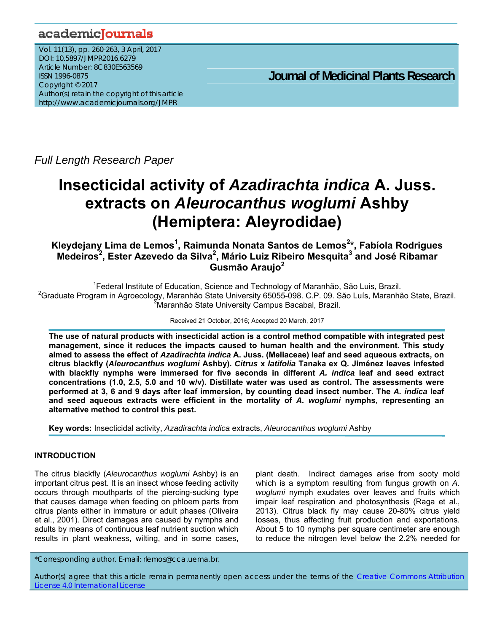# academicJournals

Vol. 11(13), pp. 260-263, 3 April, 2017 DOI: 10.5897/JMPR2016.6279 Article Number: 8C830E563569 ISSN 1996-0875 Copyright © 2017 Author(s) retain the copyright of this article http://www.academicjournals.org/JMPR

 **Journal of Medicinal Plants Research**

*Full Length Research Paper* 

# **Insecticidal activity of** *Azadirachta indica* **A. Juss. extracts on** *Aleurocanthus woglumi* **Ashby (Hemiptera: Aleyrodidae)**

**Kleydejany Lima de Lemos1 , Raimunda Nonata Santos de Lemos2 \*, Fabíola Rodrigues**  Medeiros<sup>2</sup>, Ester Azevedo da Silva<sup>2</sup>, Mário Luiz Ribeiro Mesquita<sup>3</sup> and José Ribamar **Gusmão Araujo2** 

<sup>1</sup> Federal Institute of Education, Science and Technology of Maranhão, São Luis, Brazil. <sup>2</sup>Graduate Program in Agroecology, Maranhão State University 65055-098. C.P. 09. São Luís, Maranhão State, Brazil.

3 Maranhão State University Campus Bacabal, Brazil.

Received 21 October, 2016; Accepted 20 March, 2017

**The use of natural products with insecticidal action is a control method compatible with integrated pest management, since it reduces the impacts caused to human health and the environment. This study aimed to assess the effect of** *Azadirachta indica* **A. Juss. (Meliaceae) leaf and seed aqueous extracts, on citrus blackfly (***Aleurocanthus woglumi* **Ashby).** *Citrus* **x** *latifolia* **Tanaka ex Q. Jiménez leaves infested with blackfly nymphs were immersed for five seconds in different** *A. indica* **leaf and seed extract concentrations (1.0, 2.5, 5.0 and 10 w/v). Distillate water was used as control. The assessments were performed at 3, 6 and 9 days after leaf immersion, by counting dead insect number. The** *A. indica* **leaf and seed aqueous extracts were efficient in the mortality of** *A. woglumi* **nymphs, representing an alternative method to control this pest.** 

**Key words:** Insecticidal activity, *Azadirachta indica* extracts, *Aleurocanthus woglumi* Ashby

# **INTRODUCTION**

The citrus blackfly (*Aleurocanthus woglumi* Ashby) is an important citrus pest. It is an insect whose feeding activity occurs through mouthparts of the piercing-sucking type that causes damage when feeding on phloem parts from citrus plants either in immature or adult phases (Oliveira et al., 2001). Direct damages are caused by nymphs and adults by means of continuous leaf nutrient suction which results in plant weakness, wilting, and in some cases,

plant death. Indirect damages arise from sooty mold which is a symptom resulting from fungus growth on *A. woglumi* nymph exudates over leaves and fruits which impair leaf respiration and photosynthesis (Raga et al., 2013). Citrus black fly may cause 20-80% citrus yield losses, thus affecting fruit production and exportations. About 5 to 10 nymphs per square centimeter are enough to reduce the nitrogen level below the 2.2% needed for

\*Corresponding author. E-mail: rlemos@cca.uema.br.

Author(s) agree that this article remain permanently open access under the terms of the Creative Commons Attribution License 4.0 International License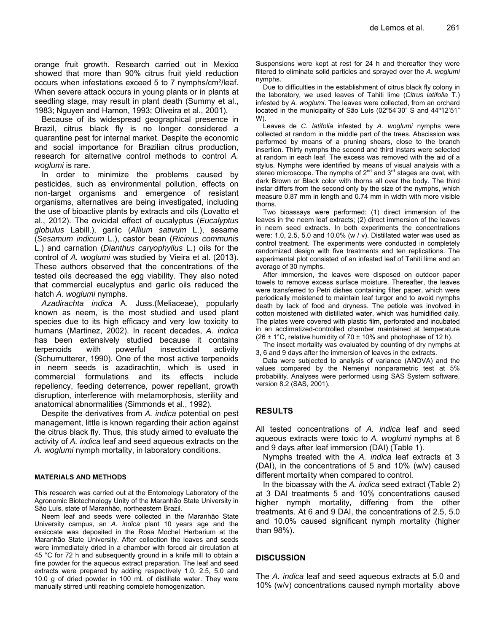orange fruit growth. Research carried out in Mexico showed that more than 90% citrus fruit yield reduction occurs when infestations exceed 5 to 7 nymphs/cm²/leaf. When severe attack occurs in young plants or in plants at seedling stage, may result in plant death (Summy et al., 1983; Nguyen and Hamon, 1993; Oliveira et al., 2001).

Because of its widespread geographical presence in Brazil, citrus black fly is no longer considered a quarantine pest for internal market. Despite the economic and social importance for Brazilian citrus production, research for alternative control methods to control *A. woglumi* is rare.

In order to minimize the problems caused by pesticides, such as environmental pollution, effects on non-target organisms and emergence of resistant organisms, alternatives are being investigated, including the use of bioactive plants by extracts and oils (Lovatto et al., 2012). The ovicidal effect of eucalyptus (*Eucalyptus globulus* Labill.), garlic (*Allium sativum* L.), sesame (*Sesamum indicum* L.), castor bean (*Ricinus communis* L.) and carnation (*Dianthus caryophyllus* L.) oils for the control of *A. woglumi* was studied by Vieira et al. (2013). These authors observed that the concentrations of the tested oils decreased the egg viability. They also noted that commercial eucalyptus and garlic oils reduced the hatch *A. woglumi* nymphs.

*Azadirachta indica* A. Juss.(Meliaceae), popularly known as neem, is the most studied and used plant species due to its high efficacy and very low toxicity to humans (Martinez, 2002). In recent decades, *A. indica* has been extensively studied because it contains terpenoids with powerful insecticidal activity (Schumutterer, 1990). One of the most active terpenoids in neem seeds is azadirachtin, which is used in commercial formulations and its effects include repellency, feeding deterrence, power repellant, growth disruption, interference with metamorphosis, sterility and anatomical abnormalities (Simmonds et al., 1992).

Despite the derivatives from *A. indica* potential on pest management, little is known regarding their action against the citrus black fly. Thus, this study aimed to evaluate the activity of *A. indica* leaf and seed aqueous extracts on the *A. woglumi* nymph mortality, in laboratory conditions.

#### **MATERIALS AND METHODS**

This research was carried out at the Entomology Laboratory of the Agronomic Biotechnology Unity of the Maranhão State University in São Luís, state of Maranhão, northeastern Brazil.

Neem leaf and seeds were collected in the Maranhão State University campus, an *A. indica* plant 10 years age and the exsiccate was deposited in the Rosa Mochel Herbarium at the Maranhão State University. After collection the leaves and seeds were immediately dried in a chamber with forced air circulation at 45 °C for 72 h and subsequently ground in a knife mill to obtain a fine powder for the aqueous extract preparation. The leaf and seed extracts were prepared by adding respectively 1.0, 2.5, 5.0 and 10.0 g of dried powder in 100 mL of distillate water. They were manually stirred until reaching complete homogenization.

Suspensions were kept at rest for 24 h and thereafter they were filtered to eliminate solid particles and sprayed over the *A. woglumi* nymphs.

Due to difficulties in the establishment of citrus black fly colony in the laboratory, we used leaves of Tahiti lime (*Citrus latifolia* T.) infested by *A. woglumi*. The leaves were collected, from an orchard located in the municipality of São Luís (02º54'30" S and 44º12'51" W).

Leaves de *C. latifolia* infested by *A. woglumi* nymphs were collected at random in the middle part of the trees. Abscission was performed by means of a pruning shears, close to the branch insertion. Thirty nymphs the second and third instars were selected at random in each leaf. The excess was removed with the aid of a stylus. Nymphs were identified by means of visual analysis with a stereo microscope. The nymphs of  $2^{nd}$  and  $3^{rd}$  stages are oval, with dark Brown or Black color with thorns all over the body. The third instar differs from the second only by the size of the nymphs, which measure 0.87 mm in length and 0.74 mm in width with more visible thorns.

Two bioassays were performed: (1) direct immersion of the leaves in the neem leaf extracts; (2) direct immersion of the leaves in neem seed extracts. In both experiments the concentrations were: 1.0, 2.5, 5.0 and 10.0% (w / v). Distillated water was used as control treatment. The experiments were conducted in completely randomized design with five treatments and ten replications. The experimental plot consisted of an infested leaf of Tahiti lime and an average of 30 nymphs.

After immersion, the leaves were disposed on outdoor paper towels to remove excess surface moisture. Thereafter, the leaves were transferred to Petri dishes containing filter paper, which were periodically moistened to maintain leaf turgor and to avoid nymphs death by lack of food and dryness. The petiole was involved in cotton moistened with distillated water, which was humidified daily. The plates were covered with plastic film, perforated and incubated in an acclimatized-controlled chamber maintained at temperature (26  $\pm$  1°C, relative humidity of 70  $\pm$  10% and photophase of 12 h).

The insect mortality was evaluated by counting of dry nymphs at 3, 6 and 9 days after the immersion of leaves in the extracts.

Data were subjected to analysis of variance (ANOVA) and the values compared by the Nemenyi nonparametric test at 5% probability. Analyses were performed using SAS System software, version 8.2 (SAS, 2001).

# **RESULTS**

All tested concentrations of *A. indica* leaf and seed aqueous extracts were toxic to *A. woglumi* nymphs at 6 and 9 days after leaf immersion (DAI) (Table 1).

Nymphs treated with the *A. indica* leaf extracts at 3 (DAI), in the concentrations of 5 and 10% (w/v) caused different mortality when compared to control.

In the bioassay with the *A. indica* seed extract (Table 2) at 3 DAI treatments 5 and 10% concentrations caused higher nymph mortality, differing from the other treatments. At 6 and 9 DAI, the concentrations of 2.5, 5.0 and 10.0% caused significant nymph mortality (higher than 98%).

# **DISCUSSION**

The *A. indica* leaf and seed aqueous extracts at 5.0 and 10% (w/v) concentrations caused nymph mortality above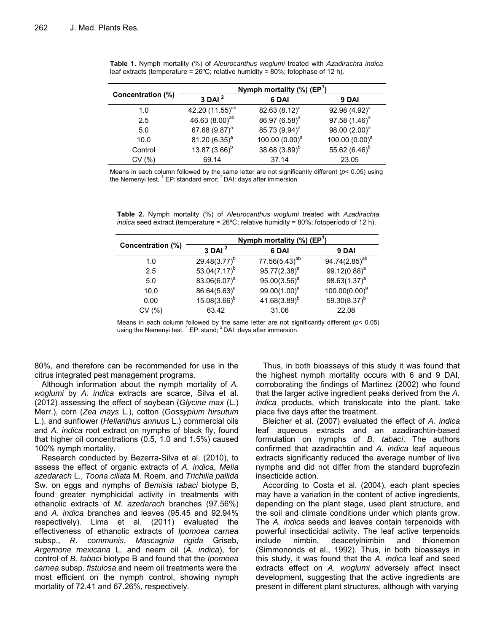| Concentration (%) | Nymph mortality $(\%)$ (EP <sup>1</sup> ) |                           |                   |  |
|-------------------|-------------------------------------------|---------------------------|-------------------|--|
|                   | $3$ DAI $^2$                              | 6 DAI                     | 9 DAI             |  |
| 1.0               | 42.20 (11.55) <sup>ab</sup>               | 82.63 $(8.12)^a$          | 92.98 $(4.92)^a$  |  |
| 2.5               | 46.63 (8.00) <sup>ab</sup>                | 86.97 (6.58) <sup>a</sup> | 97.58 $(1.46)^a$  |  |
| 5.0               | 67.68 (9.87) <sup>a</sup>                 | 85.73 (9.94) <sup>a</sup> | 98.00 $(2.00)^a$  |  |
| 10.0              | 81.20 $(6.35)^a$                          | 100.00 $(0.00)^a$         | 100.00 $(0.00)^a$ |  |
| Control           | 13.87 $(3.66)^b$                          | 38.68 $(3.89)^b$          | 55.62 $(6.46)^b$  |  |
| CV (%)            | 69.14                                     | 37.14                     | 23.05             |  |

**Table 1.** Nymph mortality (%) of *Aleurocanthus woglumi* treated with *Azadirachta indica* leaf extracts (temperature =  $26^{\circ}$ C; relative humidity =  $80\%$ ; fotophase of 12 h).

Means in each column followed by the same letter are not significantly different (*p*< 0.05) using the Nemenyi test.  $1$  EP: standard error;  $2$  DAI: days after immersion.

|                   | Nymph mortality $(\%)$ (EP <sup>1</sup> ) |                    |                           |  |
|-------------------|-------------------------------------------|--------------------|---------------------------|--|
| Concentration (%) | $3$ DAI $^2$                              | 6 DAI              | 9 DAI                     |  |
| 1.0               | 29.48 $(3.77)^{b}$                        | $77.56(5.43)^{ab}$ | 94.74(2.85) <sup>ab</sup> |  |
| 2.5               | 53.04 $(7.17)^{b}$                        | $95.77(2.38)^a$    | $99.12(0.88)^a$           |  |
| 5.0               | 83.06(6.07) <sup>a</sup>                  | $95.00(3.56)^a$    | $98.63(1.37)^a$           |  |
| 10.0              | $86.64(5.63)^a$                           | $99.00(1.00)^a$    | $100.00(0.00)^a$          |  |
| 0.00              | $15.08(3.66)^{b}$                         | 41.68 $(3.89)^b$   | 59.30 $(8.37)^b$          |  |
| CV (%)            | 63.42                                     | 31.06              | 22.08                     |  |

**Table 2.** Nymph mortality (%) of *Aleurocanthus woglumi* treated with *Azadirachta indica* seed extract (temperature = 26°C; relative humidity = 80%; fotoperíodo of 12 h).

Means in each column followed by the same letter are not significantly different (*p*< 0.05)<br>using the Nemenyi test. <sup>1</sup> EP: stand; <sup>2</sup> DAI: days after immersion.

80%, and therefore can be recommended for use in the citrus integrated pest management programs.

Although information about the nymph mortality of *A. woglumi* by *A. indica* extracts are scarce, Silva et al. (2012) assessing the effect of soybean (*Glycine max* (L.) Merr.), corn (*Zea mays* L.), cotton (*Gossypium hirsutum* L.), and sunflower (*Helianthus annuus* L.) commercial oils and *A. indica* root extract on nymphs of black fly, found that higher oil concentrations (0.5, 1.0 and 1.5%) caused 100% nymph mortality.

Research conducted by Bezerra-Silva et al. (2010), to assess the effect of organic extracts of *A. indica*, *Melia azedarach* L., *Toona ciliata* M. Roem. and *Trichilia pallida* Sw. on eggs and nymphs of *Bemisia tabaci* biotype B, found greater nymphicidal activity in treatments with ethanolic extracts of *M. azedarach* branches (97.56%) and *A. indica* branches and leaves (95.45 and 92.94% respectively). Lima et al. (2011) evaluated the effectiveness of ethanolic extracts of *Ipomoea carnea* subsp., *R. communis*, *Mascagnia rigida* Griseb, *Argemone mexicana* L. and neem oil (*A. indica*), for control of *B. tabaci* biotype B and found that the *Ipomoea carnea* subsp. *fistulosa* and neem oil treatments were the most efficient on the nymph control, showing nymph mortality of 72.41 and 67.26%, respectively.

Thus, in both bioassays of this study it was found that the highest nymph mortality occurs with 6 and 9 DAI, corroborating the findings of Martinez (2002) who found that the larger active ingredient peaks derived from the *A. indica* products, which translocate into the plant, take place five days after the treatment.

Bleicher et al. (2007) evaluated the effect of *A. indica* leaf aqueous extracts and an azadirachtin-based formulation on nymphs of *B. tabaci*. The authors confirmed that azadirachtin and *A. indica* leaf aqueous extracts significantly reduced the average number of live nymphs and did not differ from the standard buprofezin insecticide action.

According to Costa et al. (2004), each plant species may have a variation in the content of active ingredients, depending on the plant stage, used plant structure, and the soil and climate conditions under which plants grow. The *A. indica* seeds and leaves contain terpenoids with powerful insecticidal activity. The leaf active terpenoids include nimbin, deacetylnimbin and thionemon (Simmononds et al., 1992). Thus, in both bioassays in this study, it was found that the *A. indica* leaf and seed extracts effect on *A. woglumi* adversely affect insect development, suggesting that the active ingredients are present in different plant structures, although with varying